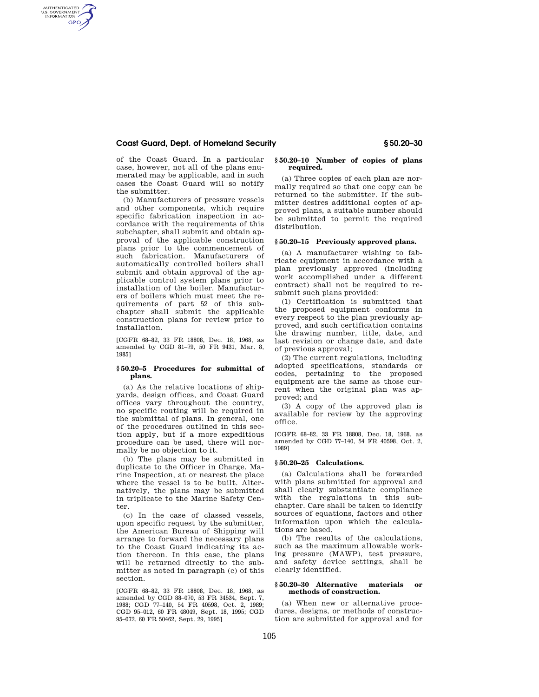# **Coast Guard, Dept. of Homeland Security § 50.20–30**

AUTHENTICATED<br>U.S. GOVERNMENT<br>INFORMATION **GPO** 

> of the Coast Guard. In a particular case, however, not all of the plans enumerated may be applicable, and in such cases the Coast Guard will so notify the submitter.

> (b) Manufacturers of pressure vessels and other components, which require specific fabrication inspection in accordance with the requirements of this subchapter, shall submit and obtain approval of the applicable construction plans prior to the commencement of such fabrication. Manufacturers of automatically controlled boilers shall submit and obtain approval of the applicable control system plans prior to installation of the boiler. Manufacturers of boilers which must meet the requirements of part 52 of this subchapter shall submit the applicable construction plans for review prior to installation.

[CGFR 68–82, 33 FR 18808, Dec. 18, 1968, as amended by CGD 81–79, 50 FR 9431, Mar. 8, 1985]

#### **§ 50.20–5 Procedures for submittal of plans.**

(a) As the relative locations of shipyards, design offices, and Coast Guard offices vary throughout the country, no specific routing will be required in the submittal of plans. In general, one of the procedures outlined in this section apply, but if a more expeditious procedure can be used, there will normally be no objection to it.

(b) The plans may be submitted in duplicate to the Officer in Charge, Marine Inspection, at or nearest the place where the vessel is to be built. Alternatively, the plans may be submitted in triplicate to the Marine Safety Center.

(c) In the case of classed vessels, upon specific request by the submitter, the American Bureau of Shipping will arrange to forward the necessary plans to the Coast Guard indicating its action thereon. In this case, the plans will be returned directly to the submitter as noted in paragraph (c) of this section.

[CGFR 68–82, 33 FR 18808, Dec. 18, 1968, as amended by CGD 88–070, 53 FR 34534, Sept. 7, 1988; CGD 77–140, 54 FR 40598, Oct. 2, 1989; CGD 95–012, 60 FR 48049, Sept. 18, 1995; CGD 95–072, 60 FR 50462, Sept. 29, 1995]

### **§ 50.20–10 Number of copies of plans required.**

(a) Three copies of each plan are normally required so that one copy can be returned to the submitter. If the submitter desires additional copies of approved plans, a suitable number should be submitted to permit the required distribution.

### **§ 50.20–15 Previously approved plans.**

(a) A manufacturer wishing to fabricate equipment in accordance with a plan previously approved (including work accomplished under a different contract) shall not be required to resubmit such plans provided:

(1) Certification is submitted that the proposed equipment conforms in every respect to the plan previously approved, and such certification contains the drawing number, title, date, and last revision or change date, and date of previous approval;

(2) The current regulations, including adopted specifications, standards or codes, pertaining to the proposed equipment are the same as those current when the original plan was approved; and

(3) A copy of the approved plan is available for review by the approving office.

[CGFR 68–82, 33 FR 18808, Dec. 18, 1968, as amended by CGD 77–140, 54 FR 40598, Oct. 2, 1989]

#### **§ 50.20–25 Calculations.**

(a) Calculations shall be forwarded with plans submitted for approval and shall clearly substantiate compliance with the regulations in this subchapter. Care shall be taken to identify sources of equations, factors and other information upon which the calculations are based.

(b) The results of the calculations, such as the maximum allowable working pressure (MAWP), test pressure, and safety device settings, shall be clearly identified.

#### **§ 50.20–30 Alternative materials or methods of construction.**

(a) When new or alternative procedures, designs, or methods of construction are submitted for approval and for